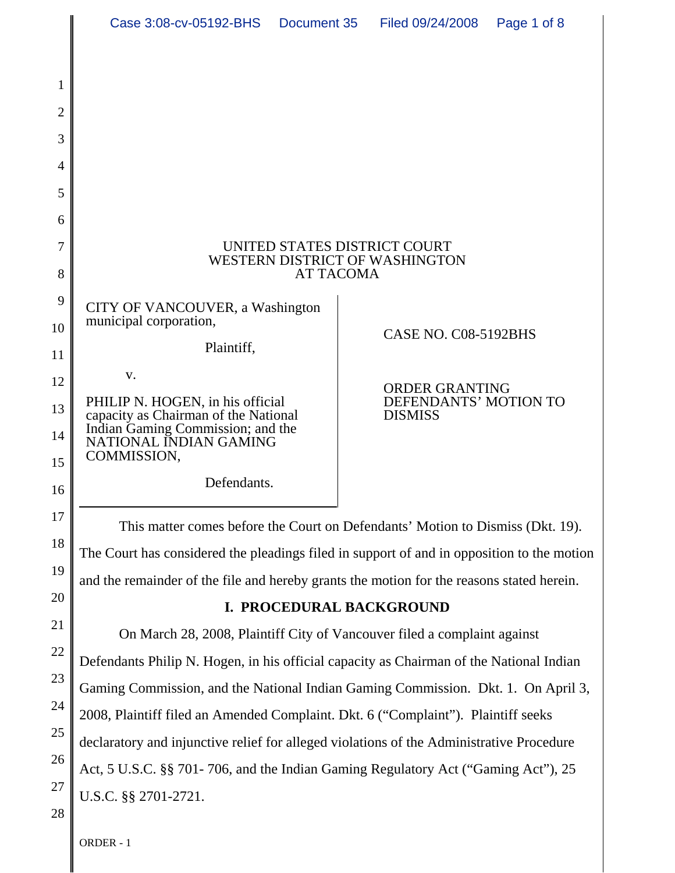|                | Case 3:08-cv-05192-BHS                                                                                                                                                        | Document 35 | Filed 09/24/2008                               | Page 1 of 8 |  |
|----------------|-------------------------------------------------------------------------------------------------------------------------------------------------------------------------------|-------------|------------------------------------------------|-------------|--|
|                |                                                                                                                                                                               |             |                                                |             |  |
| 1              |                                                                                                                                                                               |             |                                                |             |  |
| $\overline{2}$ |                                                                                                                                                                               |             |                                                |             |  |
| 3              |                                                                                                                                                                               |             |                                                |             |  |
| 4              |                                                                                                                                                                               |             |                                                |             |  |
| 5              |                                                                                                                                                                               |             |                                                |             |  |
| 6              |                                                                                                                                                                               |             |                                                |             |  |
| 7              | UNITED STATES DISTRICT COURT<br><b>WESTERN DISTRICT OF WASHINGTON</b><br><b>AT TACOMA</b>                                                                                     |             |                                                |             |  |
| 8              |                                                                                                                                                                               |             |                                                |             |  |
| 9              | CITY OF VANCOUVER, a Washington                                                                                                                                               |             |                                                |             |  |
| 10             | municipal corporation,<br>Plaintiff,                                                                                                                                          |             | CASE NO. C08-5192BHS                           |             |  |
| 11             | V.                                                                                                                                                                            |             |                                                |             |  |
| 12             | PHILIP N. HOGEN, in his official                                                                                                                                              |             | <b>ORDER GRANTING</b><br>DEFENDANTS' MOTION TO |             |  |
| 13             | capacity as Chairman of the National<br>Indian Gaming Commission; and the<br>NATIONAL INDIAN GAMING                                                                           |             | <b>DISMISS</b>                                 |             |  |
| 14             | COMMISSION,                                                                                                                                                                   |             |                                                |             |  |
| 15<br>16       | Defendants.                                                                                                                                                                   |             |                                                |             |  |
| 17             |                                                                                                                                                                               |             |                                                |             |  |
| 18             | This matter comes before the Court on Defendants' Motion to Dismiss (Dkt. 19).                                                                                                |             |                                                |             |  |
| 19             | The Court has considered the pleadings filed in support of and in opposition to the motion                                                                                    |             |                                                |             |  |
| 20             | and the remainder of the file and hereby grants the motion for the reasons stated herein.                                                                                     |             |                                                |             |  |
| 21             | I. PROCEDURAL BACKGROUND                                                                                                                                                      |             |                                                |             |  |
| 22             | On March 28, 2008, Plaintiff City of Vancouver filed a complaint against                                                                                                      |             |                                                |             |  |
| 23             | Defendants Philip N. Hogen, in his official capacity as Chairman of the National Indian                                                                                       |             |                                                |             |  |
| 24             | Gaming Commission, and the National Indian Gaming Commission. Dkt. 1. On April 3,                                                                                             |             |                                                |             |  |
| 25             | 2008, Plaintiff filed an Amended Complaint. Dkt. 6 ("Complaint"). Plaintiff seeks                                                                                             |             |                                                |             |  |
| 26             | declaratory and injunctive relief for alleged violations of the Administrative Procedure<br>Act, 5 U.S.C. §§ 701-706, and the Indian Gaming Regulatory Act ("Gaming Act"), 25 |             |                                                |             |  |
| 27             | U.S.C. §§ 2701-2721.                                                                                                                                                          |             |                                                |             |  |
| 28             |                                                                                                                                                                               |             |                                                |             |  |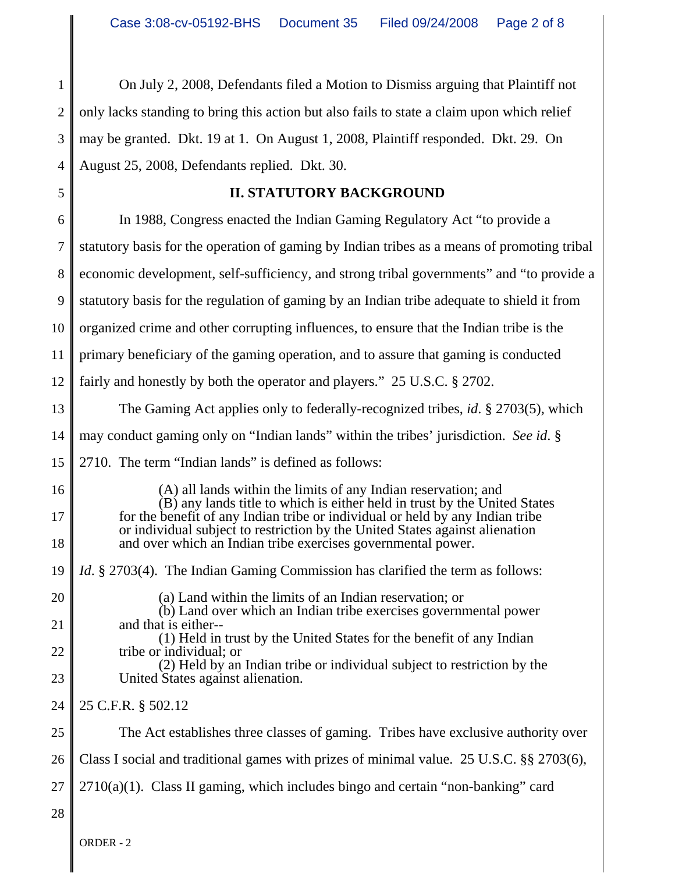1 2 3 4 On July 2, 2008, Defendants filed a Motion to Dismiss arguing that Plaintiff not only lacks standing to bring this action but also fails to state a claim upon which relief may be granted. Dkt. 19 at 1. On August 1, 2008, Plaintiff responded. Dkt. 29. On August 25, 2008, Defendants replied. Dkt. 30.

## **II. STATUTORY BACKGROUND**

6 7 8 9 10 11 12 13 14 15 In 1988, Congress enacted the Indian Gaming Regulatory Act "to provide a statutory basis for the operation of gaming by Indian tribes as a means of promoting tribal economic development, self-sufficiency, and strong tribal governments" and "to provide a statutory basis for the regulation of gaming by an Indian tribe adequate to shield it from organized crime and other corrupting influences, to ensure that the Indian tribe is the primary beneficiary of the gaming operation, and to assure that gaming is conducted fairly and honestly by both the operator and players." 25 U.S.C. § 2702. The Gaming Act applies only to federally-recognized tribes, *id*. § 2703(5), which may conduct gaming only on "Indian lands" within the tribes' jurisdiction. *See id*. § 2710. The term "Indian lands" is defined as follows:

- 16 17 18 19 (A) all lands within the limits of any Indian reservation; and (B) any lands title to which is either held in trust by the United States for the benefit of any Indian tribe or individual or held by any Indian tribe or individual subject to restriction by the United States against alienation and over which an Indian tribe exercises governmental power. *Id.* § 2703(4). The Indian Gaming Commission has clarified the term as follows:
	- (a) Land within the limits of an Indian reservation; or (b) Land over which an Indian tribe exercises governmental power
	- and that is either-- (1) Held in trust by the United States for the benefit of any Indian tribe or individual; or
	- (2) Held by an Indian tribe or individual subject to restriction by the United States against alienation.
- 24 25 C.F.R. § 502.12
- 25 The Act establishes three classes of gaming. Tribes have exclusive authority over
- 26 Class I social and traditional games with prizes of minimal value. 25 U.S.C. §§ 2703(6),
- 27  $2710(a)(1)$ . Class II gaming, which includes bingo and certain "non-banking" card
- 28

20

21

22

23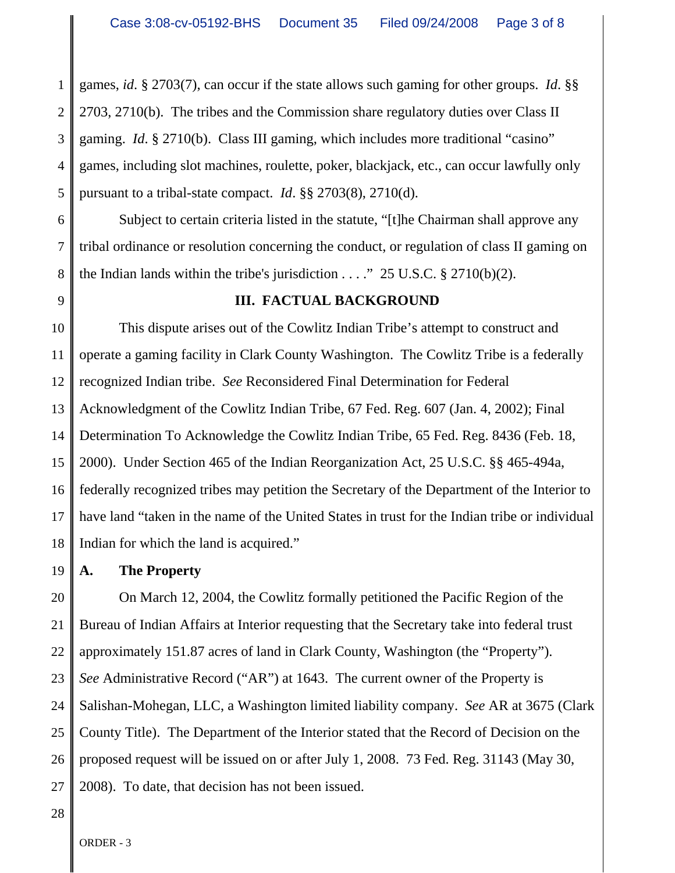1 2 3 4 5 games, *id*. § 2703(7), can occur if the state allows such gaming for other groups. *Id*. §§ 2703, 2710(b). The tribes and the Commission share regulatory duties over Class II gaming. *Id*. § 2710(b). Class III gaming, which includes more traditional "casino" games, including slot machines, roulette, poker, blackjack, etc., can occur lawfully only pursuant to a tribal-state compact. *Id*. §§ 2703(8), 2710(d).

6 7 8 Subject to certain criteria listed in the statute, "[t]he Chairman shall approve any tribal ordinance or resolution concerning the conduct, or regulation of class II gaming on the Indian lands within the tribe's jurisdiction  $\ldots$ ." 25 U.S.C. § 2710(b)(2).

9

#### **III. FACTUAL BACKGROUND**

10 11 12 13 14 15 16 17 18 This dispute arises out of the Cowlitz Indian Tribe's attempt to construct and operate a gaming facility in Clark County Washington. The Cowlitz Tribe is a federally recognized Indian tribe. *See* Reconsidered Final Determination for Federal Acknowledgment of the Cowlitz Indian Tribe, 67 Fed. Reg. 607 (Jan. 4, 2002); Final Determination To Acknowledge the Cowlitz Indian Tribe, 65 Fed. Reg. 8436 (Feb. 18, 2000). Under Section 465 of the Indian Reorganization Act, 25 U.S.C. §§ 465-494a, federally recognized tribes may petition the Secretary of the Department of the Interior to have land "taken in the name of the United States in trust for the Indian tribe or individual Indian for which the land is acquired."

19 **A. The Property**

20 21 22 23 24 25 26 27 On March 12, 2004, the Cowlitz formally petitioned the Pacific Region of the Bureau of Indian Affairs at Interior requesting that the Secretary take into federal trust approximately 151.87 acres of land in Clark County, Washington (the "Property"). *See* Administrative Record ("AR") at 1643. The current owner of the Property is Salishan-Mohegan, LLC, a Washington limited liability company. *See* AR at 3675 (Clark County Title). The Department of the Interior stated that the Record of Decision on the proposed request will be issued on or after July 1, 2008. 73 Fed. Reg. 31143 (May 30, 2008). To date, that decision has not been issued.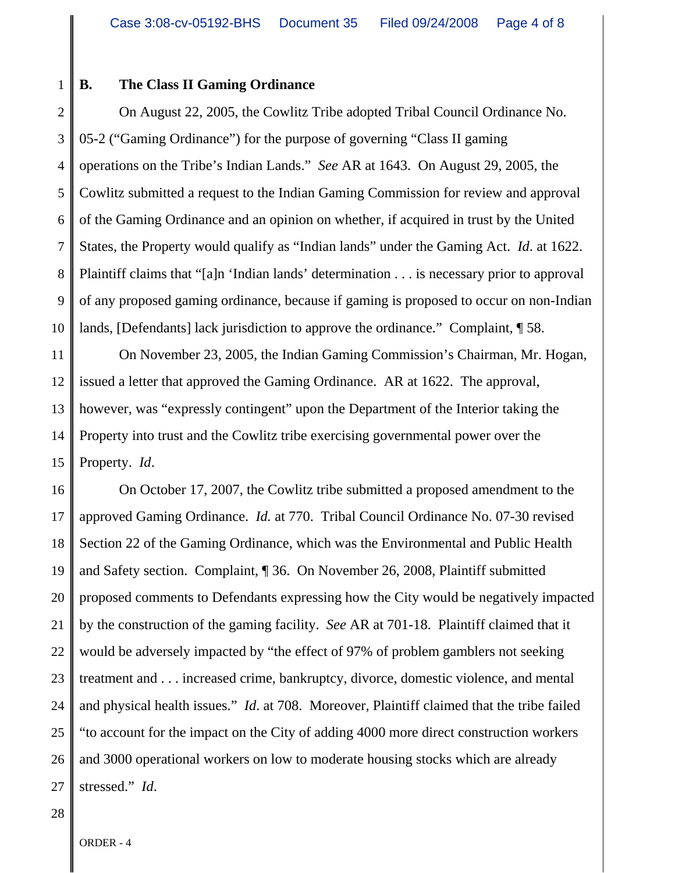1

### **B. The Class II Gaming Ordinance**

2 3 4 5 6 7 8 9 10 On August 22, 2005, the Cowlitz Tribe adopted Tribal Council Ordinance No. 05-2 ("Gaming Ordinance") for the purpose of governing "Class II gaming operations on the Tribe's Indian Lands." *See* AR at 1643. On August 29, 2005, the Cowlitz submitted a request to the Indian Gaming Commission for review and approval of the Gaming Ordinance and an opinion on whether, if acquired in trust by the United States, the Property would qualify as "Indian lands" under the Gaming Act. *Id*. at 1622. Plaintiff claims that "[a]n 'Indian lands' determination . . . is necessary prior to approval of any proposed gaming ordinance, because if gaming is proposed to occur on non-Indian lands, [Defendants] lack jurisdiction to approve the ordinance." Complaint, ¶ 58.

11 12 13 14 15 On November 23, 2005, the Indian Gaming Commission's Chairman, Mr. Hogan, issued a letter that approved the Gaming Ordinance. AR at 1622. The approval, however, was "expressly contingent" upon the Department of the Interior taking the Property into trust and the Cowlitz tribe exercising governmental power over the Property. *Id*.

16 17 18 19 20 21 22 23 24 25 26 27 On October 17, 2007, the Cowlitz tribe submitted a proposed amendment to the approved Gaming Ordinance. *Id.* at 770. Tribal Council Ordinance No. 07-30 revised Section 22 of the Gaming Ordinance, which was the Environmental and Public Health and Safety section. Complaint, ¶ 36. On November 26, 2008, Plaintiff submitted proposed comments to Defendants expressing how the City would be negatively impacted by the construction of the gaming facility. *See* AR at 701-18. Plaintiff claimed that it would be adversely impacted by "the effect of 97% of problem gamblers not seeking treatment and . . . increased crime, bankruptcy, divorce, domestic violence, and mental and physical health issues." *Id*. at 708. Moreover, Plaintiff claimed that the tribe failed "to account for the impact on the City of adding 4000 more direct construction workers and 3000 operational workers on low to moderate housing stocks which are already stressed." *Id*.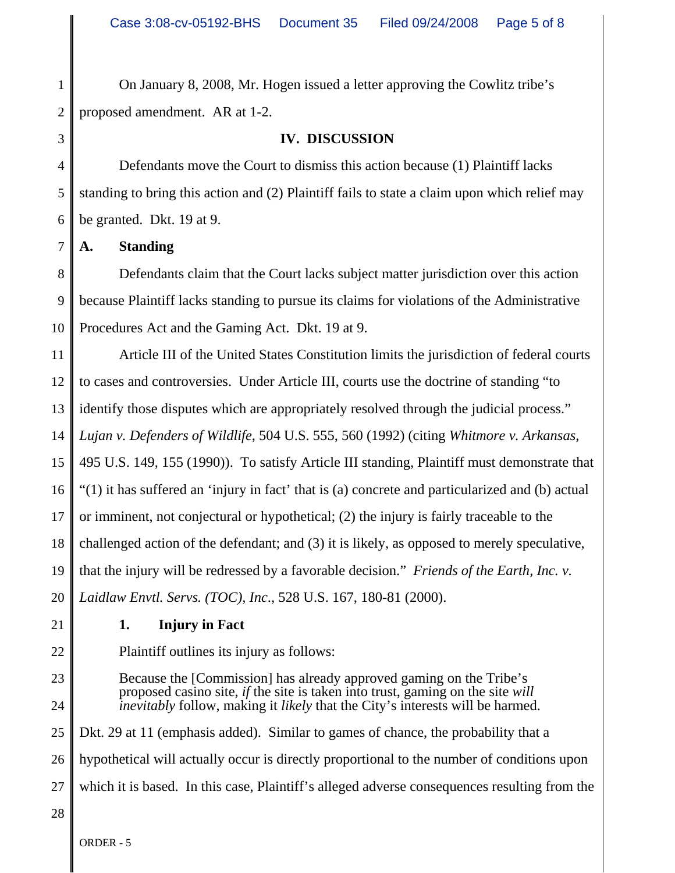1 2 On January 8, 2008, Mr. Hogen issued a letter approving the Cowlitz tribe's proposed amendment. AR at 1-2.

3

### **IV. DISCUSSION**

4 5 6 Defendants move the Court to dismiss this action because (1) Plaintiff lacks standing to bring this action and (2) Plaintiff fails to state a claim upon which relief may be granted. Dkt. 19 at 9.

7 **A. Standing**

8 9 10 Defendants claim that the Court lacks subject matter jurisdiction over this action because Plaintiff lacks standing to pursue its claims for violations of the Administrative Procedures Act and the Gaming Act. Dkt. 19 at 9.

11 12 13 14 15 16 17 18 19 20 Article III of the United States Constitution limits the jurisdiction of federal courts to cases and controversies. Under Article III, courts use the doctrine of standing "to identify those disputes which are appropriately resolved through the judicial process." *Lujan v. Defenders of Wildlife*, 504 U.S. 555, 560 (1992) (citing *Whitmore v. Arkansas*, 495 U.S. 149, 155 (1990)). To satisfy Article III standing, Plaintiff must demonstrate that "(1) it has suffered an 'injury in fact' that is (a) concrete and particularized and (b) actual or imminent, not conjectural or hypothetical; (2) the injury is fairly traceable to the challenged action of the defendant; and (3) it is likely, as opposed to merely speculative, that the injury will be redressed by a favorable decision." *Friends of the Earth, Inc. v. Laidlaw Envtl. Servs. (TOC), Inc*., 528 U.S. 167, 180-81 (2000).

21

## **1. Injury in Fact**

22

23

24

Plaintiff outlines its injury as follows:

Because the [Commission] has already approved gaming on the Tribe's proposed casino site, *if* the site is taken into trust, gaming on the site *will inevitably* follow, making it *likely* that the City's interests will be harmed.

25 26 Dkt. 29 at 11 (emphasis added). Similar to games of chance, the probability that a hypothetical will actually occur is directly proportional to the number of conditions upon

- 27 which it is based. In this case, Plaintiff's alleged adverse consequences resulting from the
- 28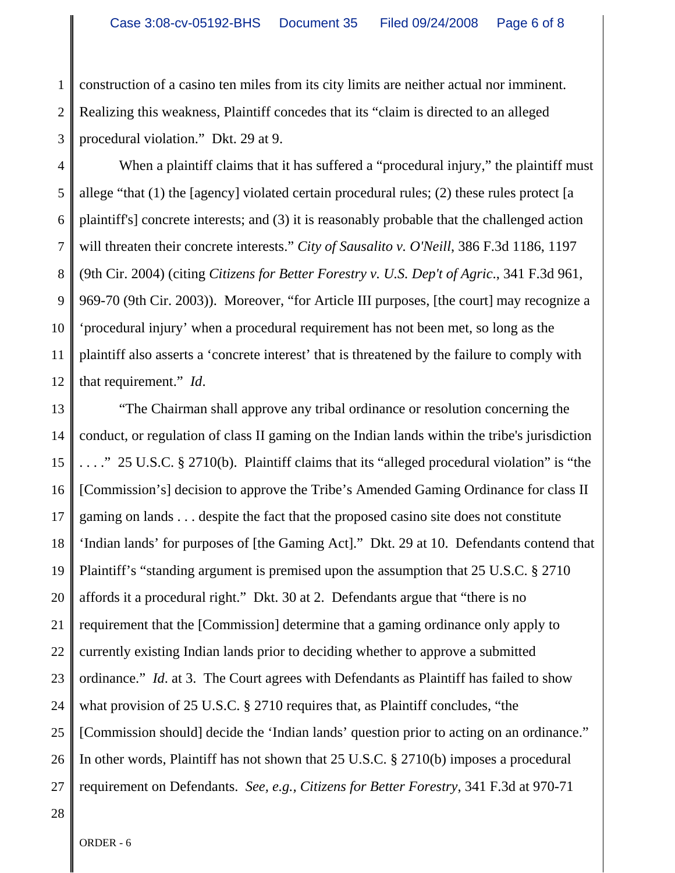1 2 3 construction of a casino ten miles from its city limits are neither actual nor imminent. Realizing this weakness, Plaintiff concedes that its "claim is directed to an alleged procedural violation." Dkt. 29 at 9.

4 5 6 7 8 9 10 11 12 When a plaintiff claims that it has suffered a "procedural injury," the plaintiff must allege "that (1) the [agency] violated certain procedural rules; (2) these rules protect [a plaintiff's] concrete interests; and (3) it is reasonably probable that the challenged action will threaten their concrete interests." *City of Sausalito v. O'Neill*, 386 F.3d 1186, 1197 (9th Cir. 2004) (citing *Citizens for Better Forestry v. U.S. Dep't of Agric*., 341 F.3d 961, 969-70 (9th Cir. 2003)). Moreover, "for Article III purposes, [the court] may recognize a 'procedural injury' when a procedural requirement has not been met, so long as the plaintiff also asserts a 'concrete interest' that is threatened by the failure to comply with that requirement." *Id*.

13 14 15 16 17 18 19 20 21 22 23 24 25 26 27 "The Chairman shall approve any tribal ordinance or resolution concerning the conduct, or regulation of class II gaming on the Indian lands within the tribe's jurisdiction . . . ." 25 U.S.C. § 2710(b). Plaintiff claims that its "alleged procedural violation" is "the [Commission's] decision to approve the Tribe's Amended Gaming Ordinance for class II gaming on lands . . . despite the fact that the proposed casino site does not constitute 'Indian lands' for purposes of [the Gaming Act]." Dkt. 29 at 10. Defendants contend that Plaintiff's "standing argument is premised upon the assumption that 25 U.S.C. § 2710 affords it a procedural right." Dkt. 30 at 2. Defendants argue that "there is no requirement that the [Commission] determine that a gaming ordinance only apply to currently existing Indian lands prior to deciding whether to approve a submitted ordinance." *Id*. at 3. The Court agrees with Defendants as Plaintiff has failed to show what provision of 25 U.S.C. § 2710 requires that, as Plaintiff concludes, "the [Commission should] decide the 'Indian lands' question prior to acting on an ordinance." In other words, Plaintiff has not shown that 25 U.S.C. § 2710(b) imposes a procedural requirement on Defendants. *See, e.g., Citizens for Better Forestry*, 341 F.3d at 970-71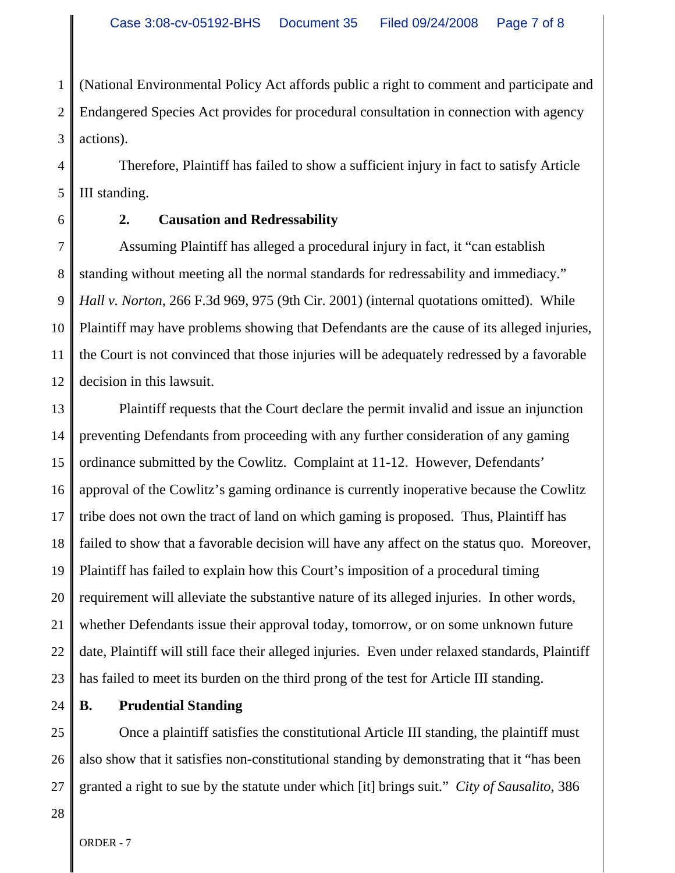1 2 3 (National Environmental Policy Act affords public a right to comment and participate and Endangered Species Act provides for procedural consultation in connection with agency actions).

4 5 Therefore, Plaintiff has failed to show a sufficient injury in fact to satisfy Article III standing.

6

# **2. Causation and Redressability**

7 8 9 10 11 12 Assuming Plaintiff has alleged a procedural injury in fact, it "can establish standing without meeting all the normal standards for redressability and immediacy." *Hall v. Norton*, 266 F.3d 969, 975 (9th Cir. 2001) (internal quotations omitted). While Plaintiff may have problems showing that Defendants are the cause of its alleged injuries, the Court is not convinced that those injuries will be adequately redressed by a favorable decision in this lawsuit.

13 14 15 16 17 18 19 20 21 22 23 Plaintiff requests that the Court declare the permit invalid and issue an injunction preventing Defendants from proceeding with any further consideration of any gaming ordinance submitted by the Cowlitz. Complaint at 11-12. However, Defendants' approval of the Cowlitz's gaming ordinance is currently inoperative because the Cowlitz tribe does not own the tract of land on which gaming is proposed. Thus, Plaintiff has failed to show that a favorable decision will have any affect on the status quo. Moreover, Plaintiff has failed to explain how this Court's imposition of a procedural timing requirement will alleviate the substantive nature of its alleged injuries. In other words, whether Defendants issue their approval today, tomorrow, or on some unknown future date, Plaintiff will still face their alleged injuries. Even under relaxed standards, Plaintiff has failed to meet its burden on the third prong of the test for Article III standing.

24 **B. Prudential Standing**

25 26 27 Once a plaintiff satisfies the constitutional Article III standing, the plaintiff must also show that it satisfies non-constitutional standing by demonstrating that it "has been granted a right to sue by the statute under which [it] brings suit." *City of Sausalito*, 386